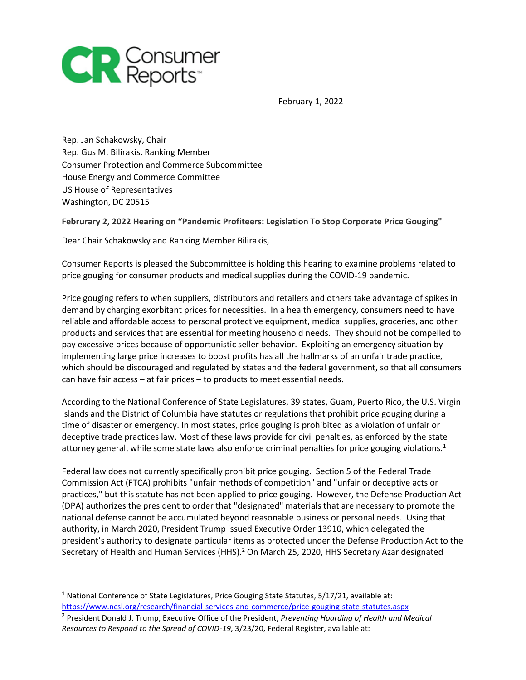

February 1, 2022

Rep. Jan Schakowsky, Chair Rep. Gus M. Bilirakis, Ranking Member Consumer Protection and Commerce Subcommittee House Energy and Commerce Committee US House of Representatives Washington, DC 20515

## **Februrary 2, 2022 Hearing on "Pandemic Profiteers: Legislation To Stop Corporate Price Gouging"**

Dear Chair Schakowsky and Ranking Member Bilirakis,

Consumer Reports is pleased the Subcommittee is holding this hearing to examine problems related to price gouging for consumer products and medical supplies during the COVID-19 pandemic.

Price gouging refers to when suppliers, distributors and retailers and others take advantage of spikes in demand by charging exorbitant prices for necessities. In a health emergency, consumers need to have reliable and affordable access to personal protective equipment, medical supplies, groceries, and other products and services that are essential for meeting household needs. They should not be compelled to pay excessive prices because of opportunistic seller behavior. Exploiting an emergency situation by implementing large price increases to boost profits has all the hallmarks of an unfair trade practice, which should be discouraged and regulated by states and the federal government, so that all consumers can have fair access – at fair prices – to products to meet essential needs.

According to the National Conference of State Legislatures, 39 states, Guam, Puerto Rico, the U.S. Virgin Islands and the District of Columbia have statutes or regulations that prohibit price gouging during a time of disaster or emergency. In most states, price gouging is prohibited as a violation of unfair or deceptive trade practices law. Most of these laws provide for civil penalties, as enforced by the state attorney general, while some state laws also enforce criminal penalties for price gouging violations.<sup>1</sup>

Federal law does not currently specifically prohibit price gouging. Section 5 of the Federal Trade Commission Act (FTCA) prohibits "unfair methods of competition" and "unfair or deceptive acts or practices," but this statute has not been applied to price gouging. However, the Defense Production Act (DPA) authorizes the president to order that "designated" materials that are necessary to promote the national defense cannot be accumulated beyond reasonable business or personal needs. Using that authority, in March 2020, President Trump issued Executive Order 13910, which delegated the president's authority to designate particular items as protected under the Defense Production Act to the Secretary of Health and Human Services (HHS).<sup>2</sup> On March 25, 2020, HHS Secretary Azar designated

<sup>&</sup>lt;sup>1</sup> National Conference of State Legislatures, Price Gouging State Statutes, 5/17/21, available at: <https://www.ncsl.org/research/financial-services-and-commerce/price-gouging-state-statutes.aspx>

<sup>2</sup> President Donald J. Trump, Executive Office of the President, *Preventing Hoarding of Health and Medical Resources to Respond to the Spread of COVID-19*, 3/23/20, Federal Register, available at: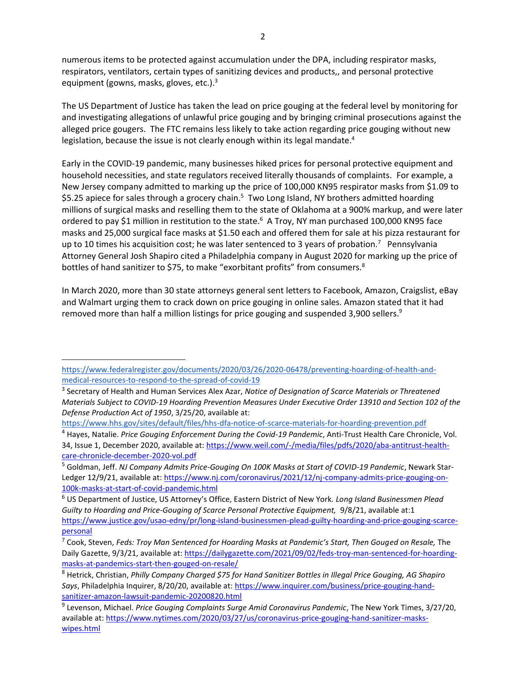numerous items to be protected against accumulation under the DPA, including respirator masks, respirators, ventilators, certain types of sanitizing devices and products,, and personal protective equipment (gowns, masks, gloves, etc.).<sup>3</sup>

The US Department of Justice has taken the lead on price gouging at the federal level by monitoring for and investigating allegations of unlawful price gouging and by bringing criminal prosecutions against the alleged price gougers. The FTC remains less likely to take action regarding price gouging without new legislation, because the issue is not clearly enough within its legal mandate.<sup>4</sup>

Early in the COVID-19 pandemic, many businesses hiked prices for personal protective equipment and household necessities, and state regulators received literally thousands of complaints. For example, a New Jersey company admitted to marking up the price of 100,000 KN95 respirator masks from \$1.09 to \$5.25 apiece for sales through a grocery chain.<sup>5</sup> Two Long Island, NY brothers admitted hoarding millions of surgical masks and reselling them to the state of Oklahoma at a 900% markup, and were later ordered to pay \$1 million in restitution to the state.<sup>6</sup> A Troy, NY man purchased 100,000 KN95 face masks and 25,000 surgical face masks at \$1.50 each and offered them for sale at his pizza restaurant for up to 10 times his acquisition cost; he was later sentenced to 3 years of probation.<sup>7</sup> Pennsylvania Attorney General Josh Shapiro cited a Philadelphia company in August 2020 for marking up the price of bottles of hand sanitizer to \$75, to make "exorbitant profits" from consumers.<sup>8</sup>

In March 2020, more than 30 state attorneys general sent letters to Facebook, Amazon, Craigslist, eBay and Walmart urging them to crack down on price gouging in online sales. Amazon stated that it had removed more than half a million listings for price gouging and suspended 3,900 sellers.<sup>9</sup>

[https://www.federalregister.gov/documents/2020/03/26/2020-06478/preventing-hoarding-of-health-and](https://www.federalregister.gov/documents/2020/03/26/2020-06478/preventing-hoarding-of-health-and-medical-resources-to-respond-to-the-spread-of-covid-19)[medical-resources-to-respond-to-the-spread-of-covid-19](https://www.federalregister.gov/documents/2020/03/26/2020-06478/preventing-hoarding-of-health-and-medical-resources-to-respond-to-the-spread-of-covid-19)

<sup>3</sup> Secretary of Health and Human Services Alex Azar, *Notice of Designation of Scarce Materials or Threatened Materials Subject to COVID-19 Hoarding Prevention Measures Under Executive Order 13910 and Section 102 of the Defense Production Act of 1950*, 3/25/20, available at:

<https://www.hhs.gov/sites/default/files/hhs-dfa-notice-of-scarce-materials-for-hoarding-prevention.pdf>

<sup>4</sup> Hayes, Natalie. *Price Gouging Enforcement During the Covid-19 Pandemic*, Anti-Trust Health Care Chronicle, Vol. 34, Issue 1, December 2020, available at: [https://www.weil.com/-/media/files/pdfs/2020/aba-antitrust-health](https://www.weil.com/-/media/files/pdfs/2020/aba-antitrust-health-care-chronicle-december-2020-vol.pdf)[care-chronicle-december-2020-vol.pdf](https://www.weil.com/-/media/files/pdfs/2020/aba-antitrust-health-care-chronicle-december-2020-vol.pdf)

<sup>5</sup> Goldman, Jeff. *NJ Company Admits Price-Gouging On 100K Masks at Start of COVID-19 Pandemic*, Newark StarLedger 12/9/21, available at: [https://www.nj.com/coronavirus/2021/12/nj-company-admits-price-gouging-on-](https://www.nj.com/coronavirus/2021/12/nj-company-admits-price-gouging-on-100k-masks-at-start-of-covid-pandemic.html)[100k-masks-at-start-of-covid-pandemic.html](https://www.nj.com/coronavirus/2021/12/nj-company-admits-price-gouging-on-100k-masks-at-start-of-covid-pandemic.html)

<sup>6</sup> US Department of Justice, US Attorney's Office, Eastern District of New York*. Long Island Businessmen Plead Guilty to Hoarding and Price-Gouging of Scarce Personal Protective Equipment,* 9/8/21, available at:1 [https://www.justice.gov/usao-edny/pr/long-island-businessmen-plead-guilty-hoarding-and-price-gouging-scarce](https://www.justice.gov/usao-edny/pr/long-island-businessmen-plead-guilty-hoarding-and-price-gouging-scarce-personal)[personal](https://www.justice.gov/usao-edny/pr/long-island-businessmen-plead-guilty-hoarding-and-price-gouging-scarce-personal)

<sup>7</sup> Cook, Steven, *Feds: Troy Man Sentenced for Hoarding Masks at Pandemic's Start, Then Gouged on Resale,* The Daily Gazette, 9/3/21, available at: [https://dailygazette.com/2021/09/02/feds-troy-man-sentenced-for-hoarding](https://dailygazette.com/2021/09/02/feds-troy-man-sentenced-for-hoarding-masks-at-pandemics-start-then-gouged-on-resale/)[masks-at-pandemics-start-then-gouged-on-resale/](https://dailygazette.com/2021/09/02/feds-troy-man-sentenced-for-hoarding-masks-at-pandemics-start-then-gouged-on-resale/)

<sup>8</sup> Hetrick, Christian, *Philly Company Charged \$75 for Hand Sanitizer Bottles in Illegal Price Gouging, AG Shapiro Says*, Philadelphia Inquirer, 8/20/20, available at: [https://www.inquirer.com/business/price-gouging-hand](https://www.inquirer.com/business/price-gouging-hand-sanitizer-amazon-lawsuit-pandemic-20200820.html)[sanitizer-amazon-lawsuit-pandemic-20200820.html](https://www.inquirer.com/business/price-gouging-hand-sanitizer-amazon-lawsuit-pandemic-20200820.html)

<sup>9</sup> Levenson, Michael. *Price Gouging Complaints Surge Amid Coronavirus Pandemic*, The New York Times, 3/27/20, available at[: https://www.nytimes.com/2020/03/27/us/coronavirus-price-gouging-hand-sanitizer-masks](https://www.nytimes.com/2020/03/27/us/coronavirus-price-gouging-hand-sanitizer-masks-wipes.html)[wipes.html](https://www.nytimes.com/2020/03/27/us/coronavirus-price-gouging-hand-sanitizer-masks-wipes.html)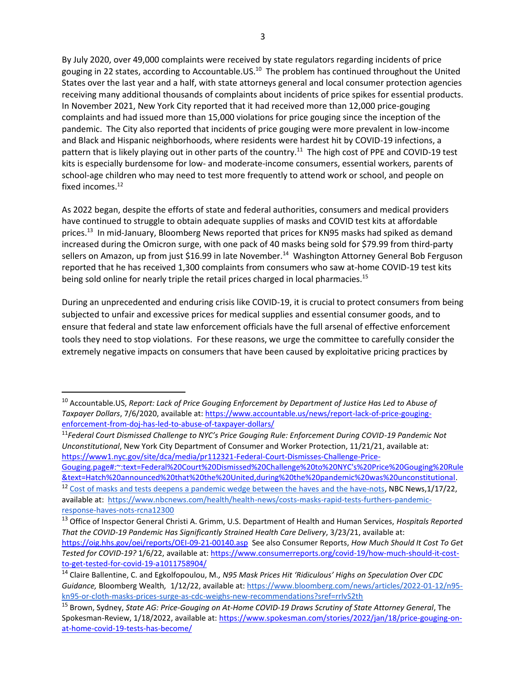By July 2020, over 49,000 complaints were received by state regulators regarding incidents of price gouging in 22 states, according to Accountable.US.<sup>10</sup> The problem has continued throughout the United States over the last year and a half, with state attorneys general and local consumer protection agencies receiving many additional thousands of complaints about incidents of price spikes for essential products. In November 2021, New York City reported that it had received more than 12,000 price-gouging complaints and had issued more than 15,000 violations for price gouging since the inception of the pandemic. The City also reported that incidents of price gouging were more prevalent in low-income and Black and Hispanic neighborhoods, where residents were hardest hit by COVID-19 infections, a pattern that is likely playing out in other parts of the country.<sup>11</sup> The high cost of PPE and COVID-19 test kits is especially burdensome for low- and moderate-income consumers, essential workers, parents of school-age children who may need to test more frequently to attend work or school, and people on fixed incomes. $^{12}$ 

As 2022 began, despite the efforts of state and federal authorities, consumers and medical providers have continued to struggle to obtain adequate supplies of masks and COVID test kits at affordable prices.<sup>13</sup> In mid-January, Bloomberg News reported that prices for KN95 masks had spiked as demand increased during the Omicron surge, with one pack of 40 masks being sold for \$79.99 from third-party sellers on Amazon, up from just \$16.99 in late November.<sup>14</sup> Washington Attorney General Bob Ferguson reported that he has received 1,300 complaints from consumers who saw at-home COVID-19 test kits being sold online for nearly triple the retail prices charged in local pharmacies.<sup>15</sup>

During an unprecedented and enduring crisis like COVID-19, it is crucial to protect consumers from being subjected to unfair and excessive prices for medical supplies and essential consumer goods, and to ensure that federal and state law enforcement officials have the full arsenal of effective enforcement tools they need to stop violations. For these reasons, we urge the committee to carefully consider the extremely negative impacts on consumers that have been caused by exploitative pricing practices by

<sup>10</sup> Accountable.US, *Report: Lack of Price Gouging Enforcement by Department of Justice Has Led to Abuse of Taxpayer Dollars*, 7/6/2020, available at: [https://www.accountable.us/news/report-lack-of-price-gouging](https://www.accountable.us/news/report-lack-of-price-gouging-enforcement-from-doj-has-led-to-abuse-of-taxpayer-dollars/)[enforcement-from-doj-has-led-to-abuse-of-taxpayer-dollars/](https://www.accountable.us/news/report-lack-of-price-gouging-enforcement-from-doj-has-led-to-abuse-of-taxpayer-dollars/)

<sup>11</sup>*Federal Court Dismissed Challenge to NYC's Price Gouging Rule: Enforcement During COVID-19 Pandemic Not Unconstitutional*, New York City Department of Consumer and Worker Protection, 11/21/21, available at: [https://www1.nyc.gov/site/dca/media/pr112321-Federal-Court-Dismisses-Challenge-Price-](https://www1.nyc.gov/site/dca/media/pr112321-Federal-Court-Dismisses-Challenge-Price-Gouging.page#:~:text=Federal%20Court%20Dismissed%20Challenge%20to%20NYC)

[Gouging.page#:~:text=Federal%20Court%20Dismissed%20Challenge%20to%20NYC's%20Price%20Gouging%20Rule](https://www1.nyc.gov/site/dca/media/pr112321-Federal-Court-Dismisses-Challenge-Price-Gouging.page#:~:text=Federal%20Court%20Dismissed%20Challenge%20to%20NYC) [&text=Hatch%20announced%20that%20the%20United,during%20the%20pandemic%20was%20unconstitutional.](https://www1.nyc.gov/site/dca/media/pr112321-Federal-Court-Dismisses-Challenge-Price-Gouging.page#:~:text=Federal%20Court%20Dismissed%20Challenge%20to%20NYC)

<sup>&</sup>lt;sup>12</sup> [Cost of masks and tests deepens a pandemic wedge between the haves](https://www.nbcnews.com/health/health-news/costs-masks-rapid-tests-furthers-pandemic-response-haves-nots-rcna12300) and the have-nots, NBC News,  $1/17/22$ , available at: [https://www.nbcnews.com/health/health-news/costs-masks-rapid-tests-furthers-pandemic](https://www.nbcnews.com/health/health-news/costs-masks-rapid-tests-furthers-pandemic-response-haves-nots-rcna12300)[response-haves-nots-rcna12300](https://www.nbcnews.com/health/health-news/costs-masks-rapid-tests-furthers-pandemic-response-haves-nots-rcna12300)

<sup>13</sup> Office of Inspector General Christi A. Grimm, U.S. Department of Health and Human Services, *Hospitals Reported That the COVID-19 Pandemic Has Significantly Strained Health Care Delivery*, 3/23/21, available at: <https://oig.hhs.gov/oei/reports/OEI-09-21-00140.asp>See also Consumer Reports, *How Much Should It Cost To Get Tested for COVID-19?* 1/6/22, available at: [https://www.consumerreports.org/covid-19/how-much-should-it-cost-](https://www.consumerreports.org/covid-19/how-much-should-it-cost-to-get-tested-for-covid-19-a1011758904/)

[to-get-tested-for-covid-19-a1011758904/](https://www.consumerreports.org/covid-19/how-much-should-it-cost-to-get-tested-for-covid-19-a1011758904/) <sup>14</sup> Claire Ballentine, C. and Egkolfopoulou, M*., N95 Mask Prices Hit 'Ridiculous' Highs on Speculation Over CDC Guidance,* Bloomberg Wealth*,* 1/12/22, available at[: https://www.bloomberg.com/news/articles/2022-01-12/n95](https://www.bloomberg.com/news/articles/2022-01-12/n95-kn95-or-cloth-masks-prices-surge-as-cdc-weighs-new-recommendations?sref=rrlvS2th) [kn95-or-cloth-masks-prices-surge-as-cdc-weighs-new-recommendations?sref=rrlvS2th](https://www.bloomberg.com/news/articles/2022-01-12/n95-kn95-or-cloth-masks-prices-surge-as-cdc-weighs-new-recommendations?sref=rrlvS2th)

<sup>15</sup> Brown, Sydney, *State AG: Price-Gouging on At-Home COVID-19 Draws Scrutiny of State Attorney General*, The Spokesman-Review, 1/18/2022, available at: [https://www.spokesman.com/stories/2022/jan/18/price-gouging-on](https://www.spokesman.com/stories/2022/jan/18/price-gouging-on-at-home-covid-19-tests-has-become/)[at-home-covid-19-tests-has-become/](https://www.spokesman.com/stories/2022/jan/18/price-gouging-on-at-home-covid-19-tests-has-become/)